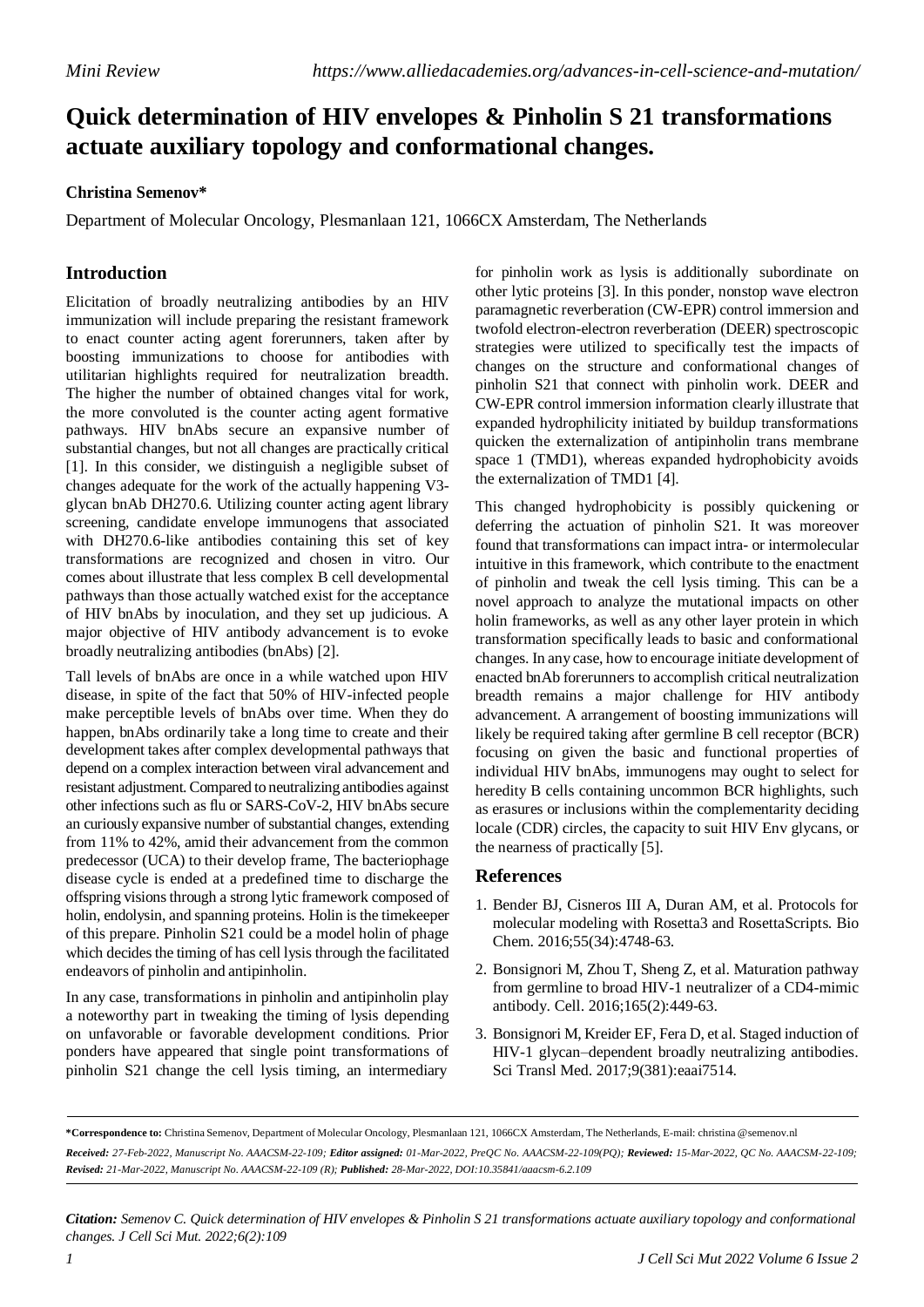## **Quick determination of HIV envelopes & Pinholin S 21 transformations actuate auxiliary topology and conformational changes.**

## **Christina Semenov\***

Department of Molecular Oncology, Plesmanlaan 121, 1066CX Amsterdam, The Netherlands

## **Introduction**

Elicitation of broadly neutralizing antibodies by an HIV immunization will include preparing the resistant framework to enact counter acting agent forerunners, taken after by boosting immunizations to choose for antibodies with utilitarian highlights required for neutralization breadth. The higher the number of obtained changes vital for work, the more convoluted is the counter acting agent formative pathways. HIV bnAbs secure an expansive number of substantial changes, but not all changes are practically critical [1]. In this consider, we distinguish a negligible subset of changes adequate for the work of the actually happening V3 glycan bnAb DH270.6. Utilizing counter acting agent library screening, candidate envelope immunogens that associated with DH270.6-like antibodies containing this set of key transformations are recognized and chosen in vitro. Our comes about illustrate that less complex B cell developmental pathways than those actually watched exist for the acceptance of HIV bnAbs by inoculation, and they set up judicious. A major objective of HIV antibody advancement is to evoke broadly neutralizing antibodies (bnAbs) [2].

Tall levels of bnAbs are once in a while watched upon HIV disease, in spite of the fact that 50% of HIV-infected people make perceptible levels of bnAbs over time. When they do happen, bnAbs ordinarily take a long time to create and their development takes after complex developmental pathways that depend on a complex interaction between viral advancement and resistant adjustment. Compared to neutralizing antibodies against other infections such as flu or SARS-CoV-2, HIV bnAbs secure an curiously expansive number of substantial changes, extending from 11% to 42%, amid their advancement from the common predecessor (UCA) to their develop frame, The bacteriophage disease cycle is ended at a predefined time to discharge the offspring visionsthrough a strong lytic framework composed of holin, endolysin, and spanning proteins. Holin is the timekeeper of this prepare. Pinholin S21 could be a model holin of phage which decides the timing of has cell lysis through the facilitated endeavors of pinholin and antipinholin.

In any case, transformations in pinholin and antipinholin play a noteworthy part in tweaking the timing of lysis depending on unfavorable or favorable development conditions. Prior ponders have appeared that single point transformations of pinholin S21 change the cell lysis timing, an intermediary

for pinholin work as lysis is additionally subordinate on other lytic proteins [3]. In this ponder, nonstop wave electron paramagnetic reverberation (CW-EPR) control immersion and twofold electron-electron reverberation (DEER) spectroscopic strategies were utilized to specifically test the impacts of changes on the structure and conformational changes of pinholin S21 that connect with pinholin work. DEER and CW-EPR control immersion information clearly illustrate that expanded hydrophilicity initiated by buildup transformations quicken the externalization of antipinholin trans membrane space 1 (TMD1), whereas expanded hydrophobicity avoids the externalization of TMD1 [4].

This changed hydrophobicity is possibly quickening or deferring the actuation of pinholin S21. It was moreover found that transformations can impact intra- or intermolecular intuitive in this framework, which contribute to the enactment of pinholin and tweak the cell lysis timing. This can be a novel approach to analyze the mutational impacts on other holin frameworks, as well as any other layer protein in which transformation specifically leads to basic and conformational changes. In any case, how to encourage initiate development of enacted bnAb forerunners to accomplish critical neutralization breadth remains a major challenge for HIV antibody advancement. A arrangement of boosting immunizations will likely be required taking after germline B cell receptor (BCR) focusing on given the basic and functional properties of individual HIV bnAbs, immunogens may ought to select for heredity B cells containing uncommon BCR highlights, such as erasures or inclusions within the complementarity deciding locale (CDR) circles, the capacity to suit HIV Env glycans, or the nearness of practically [5].

## **References**

- 1. Bender BJ, Cisneros III A, Duran AM, et al. [Protocols for](https://pubs.acs.org/doi/abs/10.1021/acs.biochem.6b00444) [molecular modeling with Rosetta3 and RosettaScripts.](https://pubs.acs.org/doi/abs/10.1021/acs.biochem.6b00444) Bio Chem. 2016;55(34):4748-63.
- 2. Bonsignori M, Zhou T, Sheng Z, et al. [Maturation](https://www.sciencedirect.com/science/article/pii/S0092867416301246) pathway [from germline to broad HIV-1 neutralizer of a CD4-mimic](https://www.sciencedirect.com/science/article/pii/S0092867416301246) [antibody.](https://www.sciencedirect.com/science/article/pii/S0092867416301246) Cell. 2016;165(2):449-63.
- 3. Bonsignori M, Kreider EF, Fera D, et al. Staged [induction](https://www.science.org/doi/abs/10.1126/scitranslmed.aai7514) of [HIV-1 glycan–dependent broadly neutralizing antibodies.](https://www.science.org/doi/abs/10.1126/scitranslmed.aai7514) Sci Transl Med. 2017;9(381):eaai7514.

**\*Correspondence to:** Christina Semenov, Department of Molecular Oncology, Plesmanlaan 121, 1066CX Amsterdam, The Netherlands, E-mail: christina @semenov.nl Received: 27-Feb-2022, Manuscript No. AAACSM-22-109; Editor assigned: 01-Mar-2022, PreQC No. AAACSM-22-109(PQ); Reviewed: 15-Mar-2022, QC No. AAACSM-22-109; *Revised: 21-Mar-2022, Manuscript No. AAACSM-22-109 (R); Published: 28-Mar-2022, DOI:10.35841/aaacsm-6.2.109*

*Citation: Semenov C. Quick determination of HIV envelopes & Pinholin S 21 transformations actuate auxiliary topology and conformational changes. J Cell Sci Mut. 2022;6(2):109*